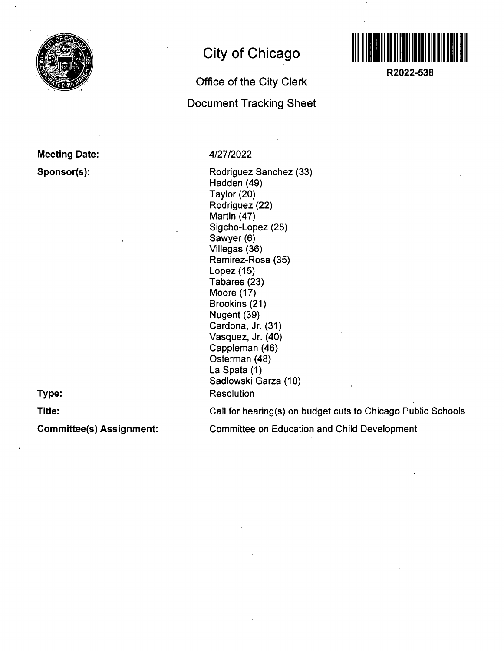

### **Meeting Date: Sponsor(s):**

**Type:** 

**Title:** 

## **City of Chicago**

# **Office of the City Clerk Document Tracking Sheet**



Rodriguez Sanchez (33) Hadden (49) Taylor (20) Rodriguez (22) Martin (47) Sigcho-Lopez (25) Sawyer (6) Viliegas (36) Ramirez-Rosa (35) Lopez (15) Tabares (23) Moore (17) Brookins (21) Nugent (39) Cardona, Jr. (31) Vasquez, Jr. (40) Cappleman (46) Osterman (48) La Spata (1) Sadlowski Garza (10) **Resolution** 



**R2022-538** 

Call for hearing(s) on budget cuts to Chicago Public Schools

**Committee(s) Assignment:** 

Committee on Education and Child Development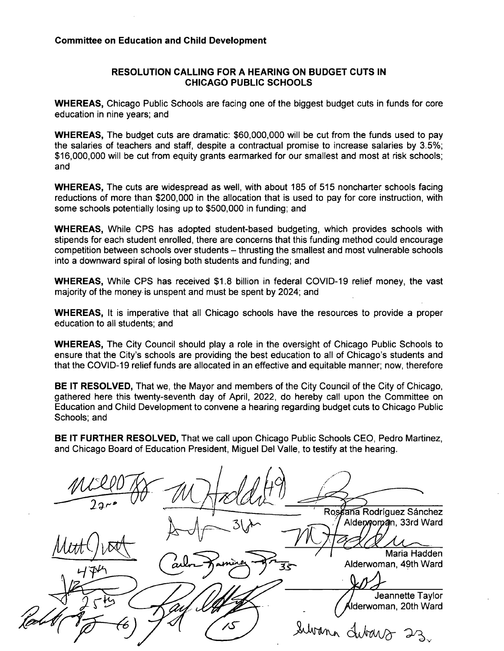### **Committee on Education and Child Development**

#### **RESOLUTION CALLING FOR A HEARING ON BUDGET CUTS IN CHICAGO PUBLIC SCHOOLS**

WHEREAS, Chicago Public Schools are facing one of the biggest budget cuts in funds for core education in nine years; and

WHEREAS, The budget cuts are dramatic: \$60,000,000 will be cut from the funds used to pay the salaries of teachers and staff, despite a contractual promise to increase salaries by 3.5%; \$16,000,000 will be cut from equity grants earmarked for our smallest and most at risk schools; and

WHEREAS, The cuts are widespread as well, with about 185 of 515 noncharter schools facing reductions of more than \$200,000 in the allocation that is used to pay for core instruction, with some schools potentially losing up to \$500,000 in funding; and

WHEREAS, While CPS has adopted student-based budgeting, which provides schools with stipends for each student enrolled, there are concerns that this funding method could encourage competition between schools over students – thrusting the smallest and most vulnerable schools into a downward spiral of losing both students and funding; and

WHEREAS, While CPS has received \$1.8 billion in federal COVID-19 relief money, the vast majority of the money is unspent and must be spent by 2024; and

WHEREAS, It is imperative that all Chicago schools have the resources to provide a proper education to all students; and

WHEREAS, The City Council should play a role in the oversight of Chicago Public Schools to ensure that the City's schools are providing the best education to all of Chicago's students and that the COVID-19 relief funds are allocated in an effective and equitable manner; now, therefore

BE IT RESOLVED, That we, the Mayor and members of the City Council of the City of Chicago, gathered here this twenty-seventh day of April, 2022, do hereby call upon the Committee on Education and Child Development to convene a hearing regarding budget cuts to Chicago Public Schools; and

BE IT FURTHER RESOLVED, That we call upon Chicago Public Schools CEO, Pedro Martinez, and Chicago Board of Education President, Miguel Del Valle, to testify at the hearing.

Ros ana Rodríguez Sánchez Alderwoman, 33rd Ward Maria Hadden Alderwoman, 49th Ward **is-**Jeannette Taylor Alderwoman, 20th Ward Subana dubars 23, ک⁄